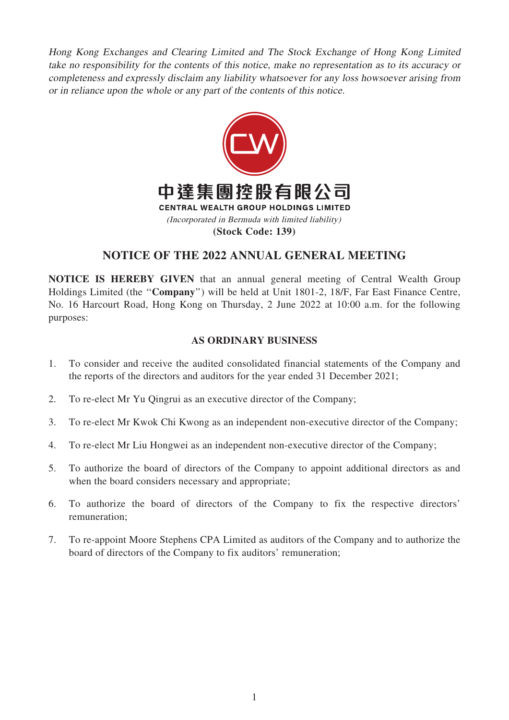Hong Kong Exchanges and Clearing Limited and The Stock Exchange of Hong Kong Limited take no responsibility for the contents of this notice, make no representation as to its accuracy or completeness and expressly disclaim any liability whatsoever for any loss howsoever arising from or in reliance upon the whole or any part of the contents of this notice.



# NOTICE OF THE 2022 ANNUAL GENERAL MEETING

NOTICE IS HEREBY GIVEN that an annual general meeting of Central Wealth Group Holdings Limited (the ''Company'') will be held at Unit 1801-2, 18/F, Far East Finance Centre, No. 16 Harcourt Road, Hong Kong on Thursday, 2 June 2022 at 10:00 a.m. for the following purposes:

## AS ORDINARY BUSINESS

- 1. To consider and receive the audited consolidated financial statements of the Company and the reports of the directors and auditors for the year ended 31 December 2021;
- 2. To re-elect Mr Yu Qingrui as an executive director of the Company;
- 3. To re-elect Mr Kwok Chi Kwong as an independent non-executive director of the Company;
- 4. To re-elect Mr Liu Hongwei as an independent non-executive director of the Company;
- 5. To authorize the board of directors of the Company to appoint additional directors as and when the board considers necessary and appropriate;
- 6. To authorize the board of directors of the Company to fix the respective directors' remuneration;
- 7. To re-appoint Moore Stephens CPA Limited as auditors of the Company and to authorize the board of directors of the Company to fix auditors' remuneration;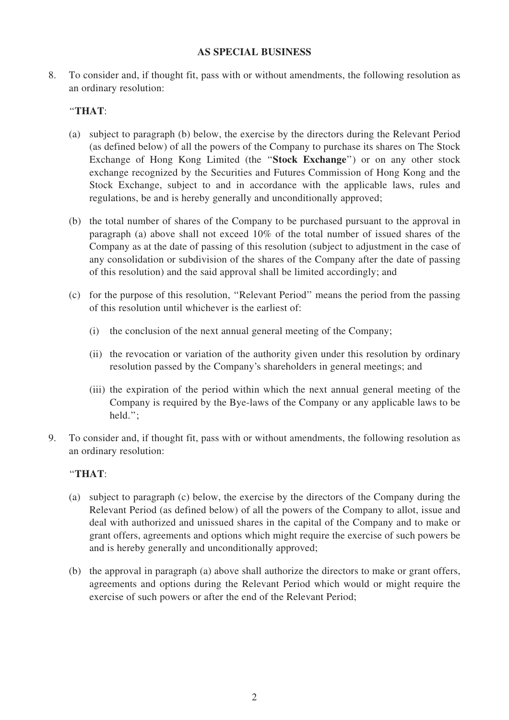#### AS SPECIAL BUSINESS

8. To consider and, if thought fit, pass with or without amendments, the following resolution as an ordinary resolution:

### ''THAT:

- (a) subject to paragraph (b) below, the exercise by the directors during the Relevant Period (as defined below) of all the powers of the Company to purchase its shares on The Stock Exchange of Hong Kong Limited (the ''Stock Exchange'') or on any other stock exchange recognized by the Securities and Futures Commission of Hong Kong and the Stock Exchange, subject to and in accordance with the applicable laws, rules and regulations, be and is hereby generally and unconditionally approved;
- (b) the total number of shares of the Company to be purchased pursuant to the approval in paragraph (a) above shall not exceed 10% of the total number of issued shares of the Company as at the date of passing of this resolution (subject to adjustment in the case of any consolidation or subdivision of the shares of the Company after the date of passing of this resolution) and the said approval shall be limited accordingly; and
- (c) for the purpose of this resolution, ''Relevant Period'' means the period from the passing of this resolution until whichever is the earliest of:
	- (i) the conclusion of the next annual general meeting of the Company;
	- (ii) the revocation or variation of the authority given under this resolution by ordinary resolution passed by the Company's shareholders in general meetings; and
	- (iii) the expiration of the period within which the next annual general meeting of the Company is required by the Bye-laws of the Company or any applicable laws to be held.'';
- 9. To consider and, if thought fit, pass with or without amendments, the following resolution as an ordinary resolution:

### ''THAT:

- (a) subject to paragraph (c) below, the exercise by the directors of the Company during the Relevant Period (as defined below) of all the powers of the Company to allot, issue and deal with authorized and unissued shares in the capital of the Company and to make or grant offers, agreements and options which might require the exercise of such powers be and is hereby generally and unconditionally approved;
- (b) the approval in paragraph (a) above shall authorize the directors to make or grant offers, agreements and options during the Relevant Period which would or might require the exercise of such powers or after the end of the Relevant Period;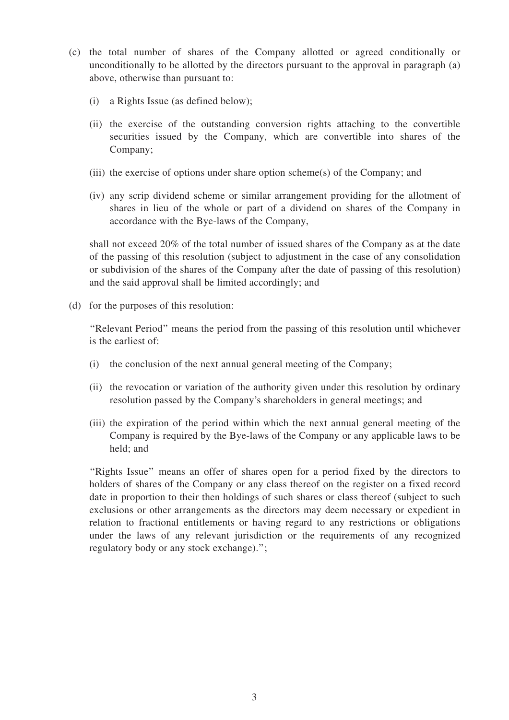- (c) the total number of shares of the Company allotted or agreed conditionally or unconditionally to be allotted by the directors pursuant to the approval in paragraph (a) above, otherwise than pursuant to:
	- (i) a Rights Issue (as defined below);
	- (ii) the exercise of the outstanding conversion rights attaching to the convertible securities issued by the Company, which are convertible into shares of the Company;
	- (iii) the exercise of options under share option scheme(s) of the Company; and
	- (iv) any scrip dividend scheme or similar arrangement providing for the allotment of shares in lieu of the whole or part of a dividend on shares of the Company in accordance with the Bye-laws of the Company,

shall not exceed 20% of the total number of issued shares of the Company as at the date of the passing of this resolution (subject to adjustment in the case of any consolidation or subdivision of the shares of the Company after the date of passing of this resolution) and the said approval shall be limited accordingly; and

(d) for the purposes of this resolution:

''Relevant Period'' means the period from the passing of this resolution until whichever is the earliest of:

- (i) the conclusion of the next annual general meeting of the Company;
- (ii) the revocation or variation of the authority given under this resolution by ordinary resolution passed by the Company's shareholders in general meetings; and
- (iii) the expiration of the period within which the next annual general meeting of the Company is required by the Bye-laws of the Company or any applicable laws to be held; and

"Rights Issue" means an offer of shares open for a period fixed by the directors to holders of shares of the Company or any class thereof on the register on a fixed record date in proportion to their then holdings of such shares or class thereof (subject to such exclusions or other arrangements as the directors may deem necessary or expedient in relation to fractional entitlements or having regard to any restrictions or obligations under the laws of any relevant jurisdiction or the requirements of any recognized regulatory body or any stock exchange).'';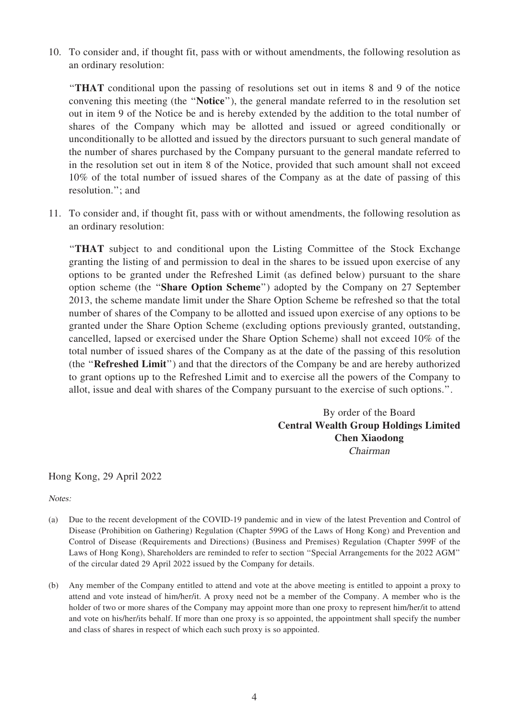10. To consider and, if thought fit, pass with or without amendments, the following resolution as an ordinary resolution:

''THAT conditional upon the passing of resolutions set out in items 8 and 9 of the notice convening this meeting (the ''Notice''), the general mandate referred to in the resolution set out in item 9 of the Notice be and is hereby extended by the addition to the total number of shares of the Company which may be allotted and issued or agreed conditionally or unconditionally to be allotted and issued by the directors pursuant to such general mandate of the number of shares purchased by the Company pursuant to the general mandate referred to in the resolution set out in item 8 of the Notice, provided that such amount shall not exceed 10% of the total number of issued shares of the Company as at the date of passing of this resolution.''; and

11. To consider and, if thought fit, pass with or without amendments, the following resolution as an ordinary resolution:

''THAT subject to and conditional upon the Listing Committee of the Stock Exchange granting the listing of and permission to deal in the shares to be issued upon exercise of any options to be granted under the Refreshed Limit (as defined below) pursuant to the share option scheme (the ''Share Option Scheme'') adopted by the Company on 27 September 2013, the scheme mandate limit under the Share Option Scheme be refreshed so that the total number of shares of the Company to be allotted and issued upon exercise of any options to be granted under the Share Option Scheme (excluding options previously granted, outstanding, cancelled, lapsed or exercised under the Share Option Scheme) shall not exceed 10% of the total number of issued shares of the Company as at the date of the passing of this resolution (the ''Refreshed Limit'') and that the directors of the Company be and are hereby authorized to grant options up to the Refreshed Limit and to exercise all the powers of the Company to allot, issue and deal with shares of the Company pursuant to the exercise of such options.''.

> By order of the Board Central Wealth Group Holdings Limited Chen Xiaodong Chairman

Hong Kong, 29 April 2022

Notes:

- (a) Due to the recent development of the COVID-19 pandemic and in view of the latest Prevention and Control of Disease (Prohibition on Gathering) Regulation (Chapter 599G of the Laws of Hong Kong) and Prevention and Control of Disease (Requirements and Directions) (Business and Premises) Regulation (Chapter 599F of the Laws of Hong Kong), Shareholders are reminded to refer to section ''Special Arrangements for the 2022 AGM'' of the circular dated 29 April 2022 issued by the Company for details.
- (b) Any member of the Company entitled to attend and vote at the above meeting is entitled to appoint a proxy to attend and vote instead of him/her/it. A proxy need not be a member of the Company. A member who is the holder of two or more shares of the Company may appoint more than one proxy to represent him/her/it to attend and vote on his/her/its behalf. If more than one proxy is so appointed, the appointment shall specify the number and class of shares in respect of which each such proxy is so appointed.